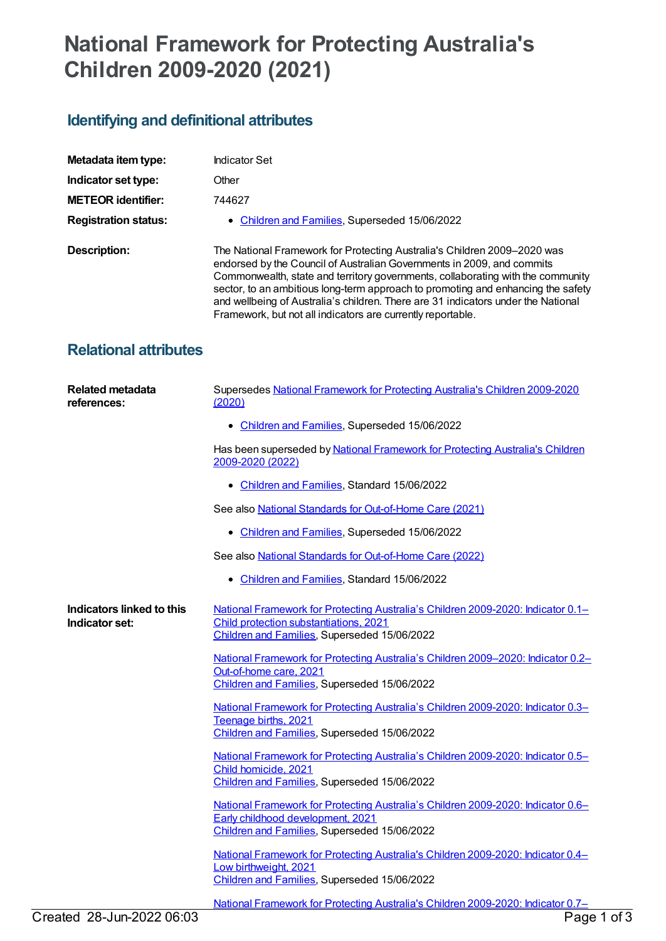## **National Framework for Protecting Australia's Children 2009-2020 (2021)**

## **Identifying and definitional attributes**

| Metadata item type:          | Indicator Set                                                                                                                                                                                                                                                                                                                                                                                                                                                                 |
|------------------------------|-------------------------------------------------------------------------------------------------------------------------------------------------------------------------------------------------------------------------------------------------------------------------------------------------------------------------------------------------------------------------------------------------------------------------------------------------------------------------------|
| Indicator set type:          | Other                                                                                                                                                                                                                                                                                                                                                                                                                                                                         |
| <b>METEOR identifier:</b>    | 744627                                                                                                                                                                                                                                                                                                                                                                                                                                                                        |
| <b>Registration status:</b>  | • Children and Families, Superseded 15/06/2022                                                                                                                                                                                                                                                                                                                                                                                                                                |
| Description:                 | The National Framework for Protecting Australia's Children 2009-2020 was<br>endorsed by the Council of Australian Governments in 2009, and commits<br>Commonwealth, state and territory governments, collaborating with the community<br>sector, to an ambitious long-term approach to promoting and enhancing the safety<br>and wellbeing of Australia's children. There are 31 indicators under the National<br>Framework, but not all indicators are currently reportable. |
| <b>Relational attributes</b> |                                                                                                                                                                                                                                                                                                                                                                                                                                                                               |

| <b>Related metadata</b><br>references:      | Supersedes National Framework for Protecting Australia's Children 2009-2020<br>(2020)                                                                                      |
|---------------------------------------------|----------------------------------------------------------------------------------------------------------------------------------------------------------------------------|
|                                             | • Children and Families, Superseded 15/06/2022                                                                                                                             |
|                                             | Has been superseded by National Framework for Protecting Australia's Children<br>2009-2020 (2022)                                                                          |
|                                             | • Children and Families, Standard 15/06/2022                                                                                                                               |
|                                             | See also National Standards for Out-of-Home Care (2021)                                                                                                                    |
|                                             | • Children and Families, Superseded 15/06/2022                                                                                                                             |
|                                             | See also National Standards for Out-of-Home Care (2022)                                                                                                                    |
|                                             | • Children and Families, Standard 15/06/2022                                                                                                                               |
| Indicators linked to this<br>Indicator set: | National Framework for Protecting Australia's Children 2009-2020: Indicator 0.1-<br>Child protection substantiations, 2021<br>Children and Families, Superseded 15/06/2022 |
|                                             | National Framework for Protecting Australia's Children 2009-2020: Indicator 0.2-<br>Out-of-home care, 2021<br>Children and Families, Superseded 15/06/2022                 |
|                                             | National Framework for Protecting Australia's Children 2009-2020: Indicator 0.3-<br>Teenage births, 2021<br>Children and Families, Superseded 15/06/2022                   |
|                                             | National Framework for Protecting Australia's Children 2009-2020: Indicator 0.5-<br>Child homicide, 2021<br>Children and Families, Superseded 15/06/2022                   |
|                                             | National Framework for Protecting Australia's Children 2009-2020: Indicator 0.6-<br>Early childhood development, 2021<br>Children and Families, Superseded 15/06/2022      |
|                                             | National Framework for Protecting Australia's Children 2009-2020: Indicator 0.4-<br>Low birthweight, 2021<br>Children and Families, Superseded 15/06/2022                  |
|                                             | National Framework for Protecting Australia's Children 2009-2020: Indicator 0.7-                                                                                           |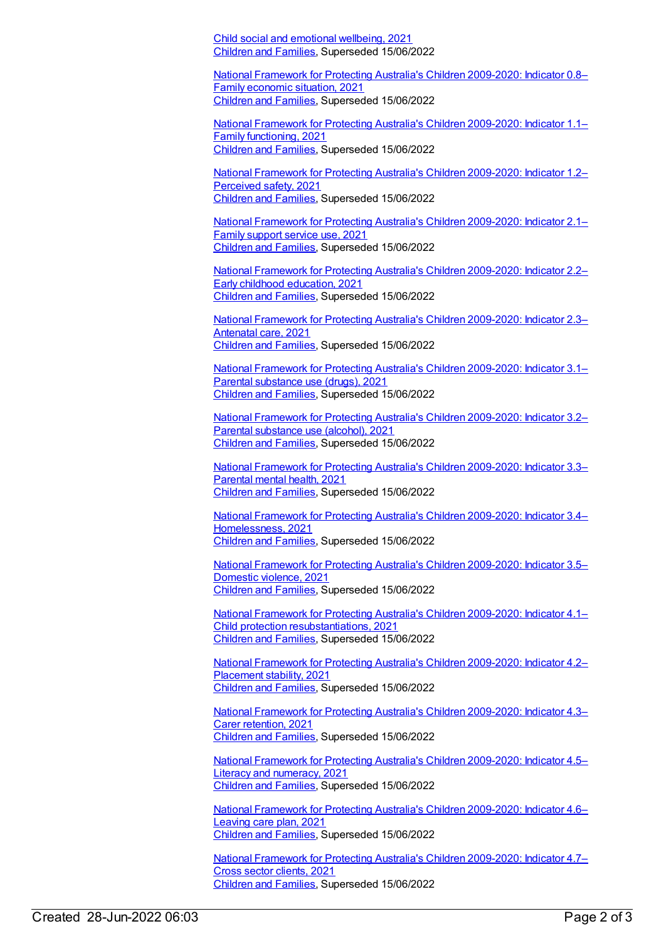Child social and emotional [wellbeing,](https://meteor.aihw.gov.au/content/744638) 2021 [Children](https://meteor.aihw.gov.au/RegistrationAuthority/17) and Families, Superseded 15/06/2022

National Framework for Protecting Australia's Children [2009-2020:](https://meteor.aihw.gov.au/content/744641) Indicator 0.8– Family economic situation, 2021 [Children](https://meteor.aihw.gov.au/RegistrationAuthority/17) and Families, Superseded 15/06/2022

National Framework for Protecting Australia's Children [2009-2020:](https://meteor.aihw.gov.au/content/744643) Indicator 1.1– Family functioning, 2021 [Children](https://meteor.aihw.gov.au/RegistrationAuthority/17) and Families, Superseded 15/06/2022

National Framework for Protecting Australia's Children [2009-2020:](https://meteor.aihw.gov.au/content/744647) Indicator 1.2– Perceived safety, 2021 [Children](https://meteor.aihw.gov.au/RegistrationAuthority/17) and Families, Superseded 15/06/2022

National Framework for Protecting Australia's Children [2009-2020:](https://meteor.aihw.gov.au/content/744649) Indicator 2.1– Family support service use, 2021 [Children](https://meteor.aihw.gov.au/RegistrationAuthority/17) and Families, Superseded 15/06/2022

National Framework for Protecting Australia's Children [2009-2020:](https://meteor.aihw.gov.au/content/744651) Indicator 2.2– Early childhood education, 2021 [Children](https://meteor.aihw.gov.au/RegistrationAuthority/17) and Families, Superseded 15/06/2022

National Framework for Protecting Australia's Children [2009-2020:](https://meteor.aihw.gov.au/content/744655) Indicator 2.3– Antenatal care, 2021 [Children](https://meteor.aihw.gov.au/RegistrationAuthority/17) and Families, Superseded 15/06/2022

National Framework for Protecting Australia's Children [2009-2020:](https://meteor.aihw.gov.au/content/744659) Indicator 3.1– Parental substance use (drugs), 2021 [Children](https://meteor.aihw.gov.au/RegistrationAuthority/17) and Families, Superseded 15/06/2022

National Framework for Protecting Australia's Children [2009-2020:](https://meteor.aihw.gov.au/content/744661) Indicator 3.2– Parental substance use (alcohol), 2021 [Children](https://meteor.aihw.gov.au/RegistrationAuthority/17) and Families, Superseded 15/06/2022

National Framework for Protecting Australia's Children [2009-2020:](https://meteor.aihw.gov.au/content/744663) Indicator 3.3– Parental mental health, 2021 [Children](https://meteor.aihw.gov.au/RegistrationAuthority/17) and Families, Superseded 15/06/2022

National Framework for Protecting Australia's Children 2009-2020: Indicator 3.4– [Homelessness,](https://meteor.aihw.gov.au/content/744665) 2021 [Children](https://meteor.aihw.gov.au/RegistrationAuthority/17) and Families, Superseded 15/06/2022

National Framework for Protecting Australia's Children [2009-2020:](https://meteor.aihw.gov.au/content/744667) Indicator 3.5– Domestic violence, 2021 [Children](https://meteor.aihw.gov.au/RegistrationAuthority/17) and Families, Superseded 15/06/2022

National Framework for Protecting Australia's Children 2009-2020: Indicator 4.1– Child protection [resubstantiations,](https://meteor.aihw.gov.au/content/744669) 2021 [Children](https://meteor.aihw.gov.au/RegistrationAuthority/17) and Families, Superseded 15/06/2022

National Framework for Protecting Australia's Children [2009-2020:](https://meteor.aihw.gov.au/content/744672) Indicator 4.2– Placement stability, 2021 [Children](https://meteor.aihw.gov.au/RegistrationAuthority/17) and Families, Superseded 15/06/2022

National Framework for Protecting Australia's Children [2009-2020:](https://meteor.aihw.gov.au/content/744674) Indicator 4.3– Carer retention, 2021 [Children](https://meteor.aihw.gov.au/RegistrationAuthority/17) and Families, Superseded 15/06/2022

National Framework for Protecting Australia's Children [2009-2020:](https://meteor.aihw.gov.au/content/744676) Indicator 4.5– Literacy and numeracy, 2021 [Children](https://meteor.aihw.gov.au/RegistrationAuthority/17) and Families, Superseded 15/06/2022

National Framework for Protecting Australia's Children [2009-2020:](https://meteor.aihw.gov.au/content/744678) Indicator 4.6– Leaving care plan, 2021 [Children](https://meteor.aihw.gov.au/RegistrationAuthority/17) and Families, Superseded 15/06/2022

National Framework for Protecting Australia's Children [2009-2020:](https://meteor.aihw.gov.au/content/744680) Indicator 4.7– Cross sector clients, 2021 [Children](https://meteor.aihw.gov.au/RegistrationAuthority/17) and Families, Superseded 15/06/2022